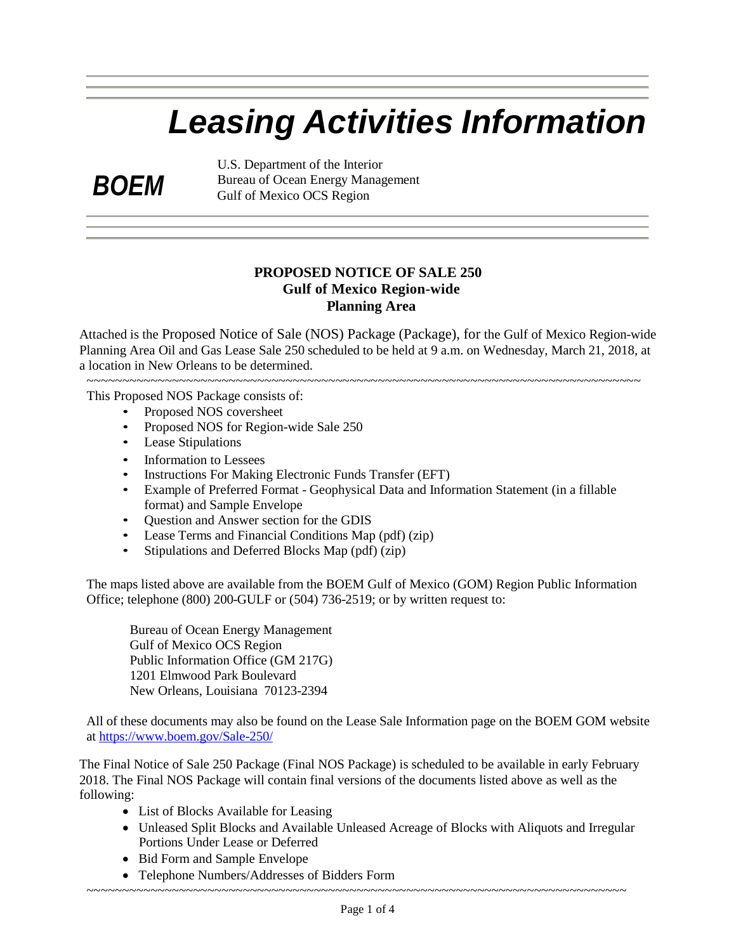# *Leasing Activities Information*

*BOEM*

U.S. Department of the Interior Bureau of Ocean Energy Management Gulf of Mexico OCS Region

## **PROPOSED NOTICE OF SALE 250 Gulf of Mexico Region-wide Planning Area**

Attached is the Proposed Notice of Sale (NOS) Package (Package), for the Gulf of Mexico Region-wide Planning Area Oil and Gas Lease Sale 250 scheduled to be held at 9 a.m. on Wednesday, March 21, 2018, at a location in New Orleans to be determined.

 $~\cdot$ 

This Proposed NOS Package consists of:

- Proposed NOS coversheet
- Proposed NOS for Region-wide Sale 250
- Lease Stipulations
- Information to Lessees
- Instructions For Making Electronic Funds Transfer (EFT)
- Example of Preferred Format Geophysical Data and Information Statement (in a fillable format) and Sample Envelope
- Question and Answer section for the GDIS
- Lease Terms and Financial Conditions Map (pdf) (zip)
- Stipulations and Deferred Blocks Map (pdf) (zip)

The maps listed above are available from the BOEM Gulf of Mexico (GOM) Region Public Information Office; telephone (800) 200-GULF or (504) 736-2519; or by written request to:

Bureau of Ocean Energy Management Gulf of Mexico OCS Region Public Information Office (GM 217G) 1201 Elmwood Park Boulevard New Orleans, Louisiana 70123-2394

All of these documents may also be found on the Lease Sale Information page on the BOEM GOM website at <https://www.boem.gov/Sale-250/>

The Final Notice of Sale 250 Package (Final NOS Package) is scheduled to be available in early February 2018. The Final NOS Package will contain final versions of the documents listed above as well as the following:

- List of Blocks Available for Leasing
- Unleased Split Blocks and Available Unleased Acreage of Blocks with Aliquots and Irregular Portions Under Lease or Deferred
- Bid Form and Sample Envelope
- Telephone Numbers/Addresses of Bidders Form

~~~~~~~~~~~~~~~~~~~~~~~~~~~~~~~~~~~~~~~~~~~~~~~~~~~~~~~~~~~~~~~~~~~~~~~~~~~~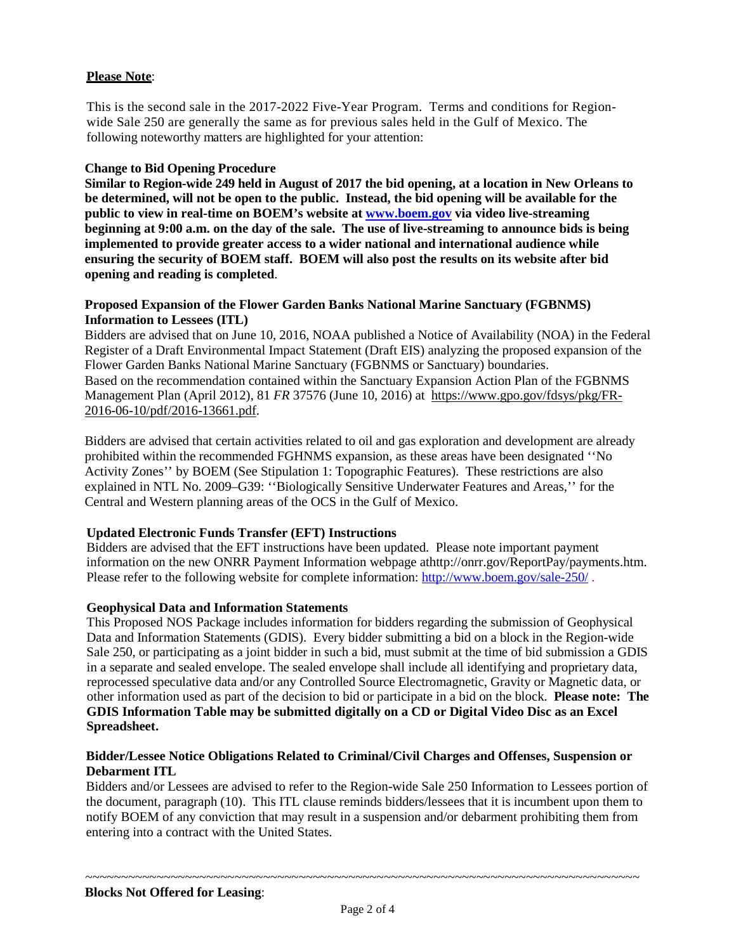## **Please Note**:

This is the second sale in the 2017-2022 Five-Year Program. Terms and conditions for Regionwide Sale 250 are generally the same as for previous sales held in the Gulf of Mexico. The following noteworthy matters are highlighted for your attention:

#### **Change to Bid Opening Procedure**

**Similar to Region-wide 249 held in August of 2017 the bid opening, at a location in New Orleans to be determined, will not be open to the public. Instead, the bid opening will be available for the public to view in real-time on BOEM's website at [www.boem.gov](http://www.boem.gov/) via video live-streaming beginning at 9:00 a.m. on the day of the sale. The use of live-streaming to announce bids is being implemented to provide greater access to a wider national and international audience while ensuring the security of BOEM staff. BOEM will also post the results on its website after bid opening and reading is completed**.

#### **Proposed Expansion of the Flower Garden Banks National Marine Sanctuary (FGBNMS) Information to Lessees (ITL)**

Bidders are advised that on June 10, 2016, NOAA published a Notice of Availability (NOA) in the Federal Register of a Draft Environmental Impact Statement (Draft EIS) analyzing the proposed expansion of the Flower Garden Banks National Marine Sanctuary (FGBNMS or Sanctuary) boundaries. Based on the recommendation contained within the Sanctuary Expansion Action Plan of the FGBNMS Management Plan (April 2012), 81 *FR* 37576 (June 10, 2016) at [https://www.gpo.gov/fdsys/pkg/FR-](https://www.gpo.gov/fdsys/pkg/FR-2016-06-10/pdf/2016-13661.pdf)[2016-06-10/pdf/2016-13661.pdf.](https://www.gpo.gov/fdsys/pkg/FR-2016-06-10/pdf/2016-13661.pdf)

Bidders are advised that certain activities related to oil and gas exploration and development are already prohibited within the recommended FGHNMS expansion, as these areas have been designated ''No Activity Zones'' by BOEM (See Stipulation 1: Topographic Features). These restrictions are also explained in NTL No. 2009–G39: ''Biologically Sensitive Underwater Features and Areas,'' for the Central and Western planning areas of the OCS in the Gulf of Mexico.

## **Updated Electronic Funds Transfer (EFT) Instructions**

Bidders are advised that the EFT instructions have been updated. Please note important payment information on the new ONRR Payment Information webpage athttp://onrr.gov/ReportPay/payments.htm. Please refer to the following website for complete information: <http://www.boem.gov/sale-250/> .

#### **Geophysical Data and Information Statements**

This Proposed NOS Package includes information for bidders regarding the submission of Geophysical Data and Information Statements (GDIS). Every bidder submitting a bid on a block in the Region-wide Sale 250, or participating as a joint bidder in such a bid, must submit at the time of bid submission a GDIS in a separate and sealed envelope. The sealed envelope shall include all identifying and proprietary data, reprocessed speculative data and/or any Controlled Source Electromagnetic, Gravity or Magnetic data, or other information used as part of the decision to bid or participate in a bid on the block. **Please note: The GDIS Information Table may be submitted digitally on a CD or Digital Video Disc as an Excel Spreadsheet.**

#### **Bidder/Lessee Notice Obligations Related to Criminal/Civil Charges and Offenses, Suspension or Debarment ITL**

Bidders and/or Lessees are advised to refer to the Region-wide Sale 250 Information to Lessees portion of the document, paragraph (10). This ITL clause reminds bidders/lessees that it is incumbent upon them to notify BOEM of any conviction that may result in a suspension and/or debarment prohibiting them from entering into a contract with the United States.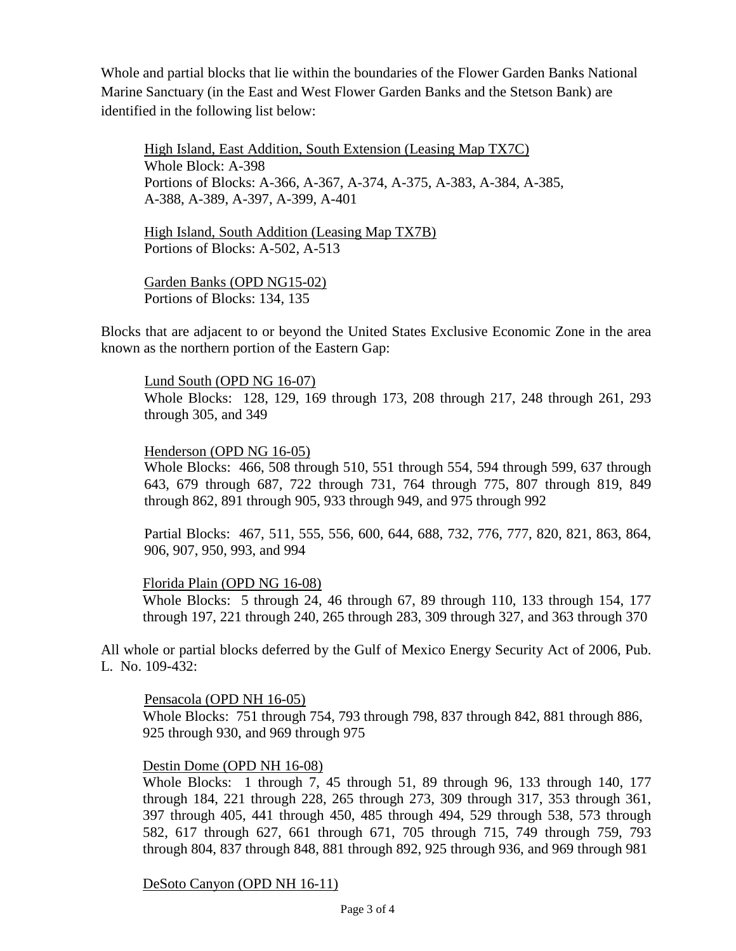Whole and partial blocks that lie within the boundaries of the Flower Garden Banks National Marine Sanctuary (in the East and West Flower Garden Banks and the Stetson Bank) are identified in the following list below:

High Island, East Addition, South Extension (Leasing Map TX7C) Whole Block: A-398 Portions of Blocks: A-366, A-367, A-374, A-375, A-383, A-384, A-385, A-388, A-389, A-397, A-399, A-401

High Island, South Addition (Leasing Map TX7B) Portions of Blocks: A-502, A-513

Garden Banks (OPD NG15-02) Portions of Blocks: 134, 135

Blocks that are adjacent to or beyond the United States Exclusive Economic Zone in the area known as the northern portion of the Eastern Gap:

Lund South (OPD NG 16-07) Whole Blocks: 128, 129, 169 through 173, 208 through 217, 248 through 261, 293 through 305, and 349

## Henderson (OPD NG 16-05)

Whole Blocks: 466, 508 through 510, 551 through 554, 594 through 599, 637 through 643, 679 through 687, 722 through 731, 764 through 775, 807 through 819, 849 through 862, 891 through 905, 933 through 949, and 975 through 992

Partial Blocks: 467, 511, 555, 556, 600, 644, 688, 732, 776, 777, 820, 821, 863, 864, 906, 907, 950, 993, and 994

## Florida Plain (OPD NG 16-08)

Whole Blocks: 5 through 24, 46 through 67, 89 through 110, 133 through 154, 177 through 197, 221 through 240, 265 through 283, 309 through 327, and 363 through 370

All whole or partial blocks deferred by the Gulf of Mexico Energy Security Act of 2006, Pub. L. No. 109-432:

Pensacola (OPD NH 16-05)

Whole Blocks: 751 through 754, 793 through 798, 837 through 842, 881 through 886, 925 through 930, and 969 through 975

## Destin Dome (OPD NH 16-08)

Whole Blocks: 1 through 7, 45 through 51, 89 through 96, 133 through 140, 177 through 184, 221 through 228, 265 through 273, 309 through 317, 353 through 361, 397 through 405, 441 through 450, 485 through 494, 529 through 538, 573 through 582, 617 through 627, 661 through 671, 705 through 715, 749 through 759, 793 through 804, 837 through 848, 881 through 892, 925 through 936, and 969 through 981

DeSoto Canyon (OPD NH 16-11)